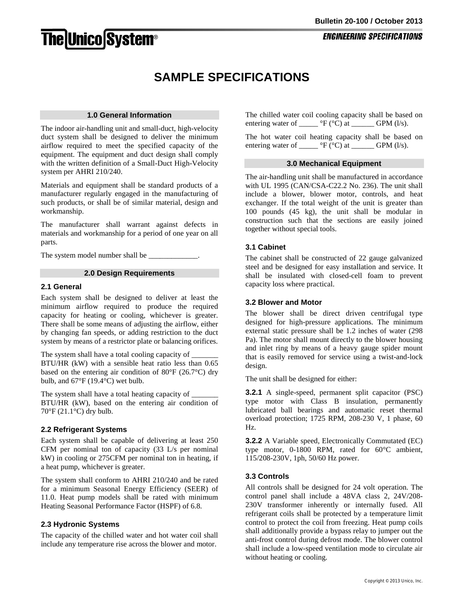# **The Unico System®**

# **SAMPLE SPECIFICATIONS**

#### **1.0 General Information**

The indoor air-handling unit and small-duct, high-velocity duct system shall be designed to deliver the minimum airflow required to meet the specified capacity of the equipment. The equipment and duct design shall comply with the written definition of a Small-Duct High-Velocity system per AHRI 210/240.

Materials and equipment shall be standard products of a manufacturer regularly engaged in the manufacturing of such products, or shall be of similar material, design and workmanship.

The manufacturer shall warrant against defects in materials and workmanship for a period of one year on all parts.

The system model number shall be

#### **2.0 Design Requirements**

#### **2.1 General**

Each system shall be designed to deliver at least the minimum airflow required to produce the required capacity for heating or cooling, whichever is greater. There shall be some means of adjusting the airflow, either by changing fan speeds, or adding restriction to the duct system by means of a restrictor plate or balancing orifices.

The system shall have a total cooling capacity of BTU/HR (kW) with a sensible heat ratio less than 0.65 based on the entering air condition of 80°F (26.7°C) dry bulb, and 67°F (19.4°C) wet bulb.

The system shall have a total heating capacity of \_\_\_\_\_\_\_\_\_\_\_\_\_\_\_\_\_\_\_\_\_\_\_\_\_\_\_\_\_\_\_ BTU/HR (kW), based on the entering air condition of  $70^{\circ}$ F (21.1 $^{\circ}$ C) dry bulb.

# **2.2 Refrigerant Systems**

Each system shall be capable of delivering at least 250 CFM per nominal ton of capacity (33 L/s per nominal kW) in cooling or 275CFM per nominal ton in heating, if a heat pump, whichever is greater.

The system shall conform to AHRI 210/240 and be rated for a minimum Seasonal Energy Efficiency (SEER) of 11.0. Heat pump models shall be rated with minimum Heating Seasonal Performance Factor (HSPF) of 6.8.

# **2.3 Hydronic Systems**

The capacity of the chilled water and hot water coil shall include any temperature rise across the blower and motor.

The chilled water coil cooling capacity shall be based on entering water of  $\_\_\_\_\$ °F (°C) at  $\_\_\_\_\$  GPM (l/s).

The hot water coil heating capacity shall be based on entering water of \_\_\_\_\_\_ °F (°C) at \_\_\_\_\_\_ GPM (l/s).

#### **3.0 Mechanical Equipment**

The air-handling unit shall be manufactured in accordance with UL 1995 (CAN/CSA-C22.2 No. 236). The unit shall include a blower, blower motor, controls, and heat exchanger. If the total weight of the unit is greater than 100 pounds (45 kg), the unit shall be modular in construction such that the sections are easily joined together without special tools.

# **3.1 Cabinet**

The cabinet shall be constructed of 22 gauge galvanized steel and be designed for easy installation and service. It shall be insulated with closed-cell foam to prevent capacity loss where practical.

#### **3.2 Blower and Motor**

The blower shall be direct driven centrifugal type designed for high-pressure applications. The minimum external static pressure shall be 1.2 inches of water (298 Pa). The motor shall mount directly to the blower housing and inlet ring by means of a heavy gauge spider mount that is easily removed for service using a twist-and-lock design.

The unit shall be designed for either:

**3.2.1** A single-speed, permanent split capacitor (PSC) type motor with Class B insulation, permanently lubricated ball bearings and automatic reset thermal overload protection; 1725 RPM, 208-230 V, 1 phase, 60 Hz.

**3.2.2** A Variable speed, Electronically Commutated (EC) type motor, 0-1800 RPM, rated for 60°C ambient, 115/208-230V, 1ph, 50/60 Hz power.

# **3.3 Controls**

All controls shall be designed for 24 volt operation. The control panel shall include a 48VA class 2, 24V/208- 230V transformer inherently or internally fused. All refrigerant coils shall be protected by a temperature limit control to protect the coil from freezing. Heat pump coils shall additionally provide a bypass relay to jumper out the anti-frost control during defrost mode. The blower control shall include a low-speed ventilation mode to circulate air without heating or cooling.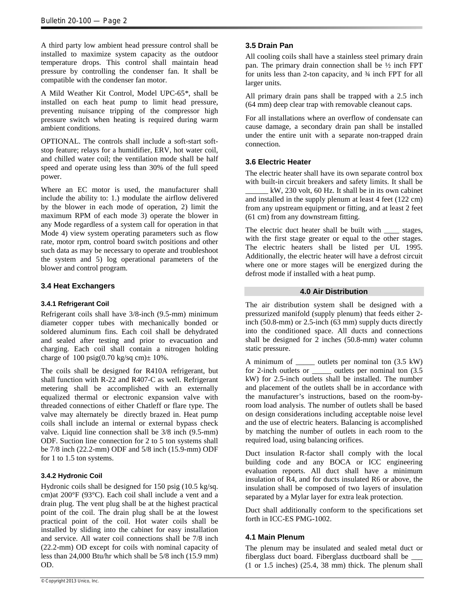A third party low ambient head pressure control shall be installed to maximize system capacity as the outdoor temperature drops. This control shall maintain head pressure by controlling the condenser fan. It shall be compatible with the condenser fan motor.

A Mild Weather Kit Control, Model UPC-65\*, shall be installed on each heat pump to limit head pressure, preventing nuisance tripping of the compressor high pressure switch when heating is required during warm ambient conditions.

OPTIONAL. The controls shall include a soft-start softstop feature; relays for a humidifier, ERV, hot water coil, and chilled water coil; the ventilation mode shall be half speed and operate using less than 30% of the full speed power.

Where an EC motor is used, the manufacturer shall include the ability to: 1.) modulate the airflow delivered by the blower in each mode of operation, 2) limit the maximum RPM of each mode 3) operate the blower in any Mode regardless of a system call for operation in that Mode 4) view system operating parameters such as flow rate, motor rpm, control board switch positions and other such data as may be necessary to operate and troubleshoot the system and 5) log operational parameters of the blower and control program.

# **3.4 Heat Exchangers**

#### **3.4.1 Refrigerant Coil**

Refrigerant coils shall have 3/8-inch (9.5-mm) minimum diameter copper tubes with mechanically bonded or soldered aluminum fins. Each coil shall be dehydrated and sealed after testing and prior to evacuation and charging. Each coil shall contain a nitrogen holding charge of  $100 \text{ psig}(0.70 \text{ kg/sq cm}) \pm 10\%$ .

The coils shall be designed for R410A refrigerant, but shall function with R-22 and R407-C as well. Refrigerant metering shall be accomplished with an externally equalized thermal or electronic expansion valve with threaded connections of either Chatleff or flare type. The valve may alternately be directly brazed in. Heat pump coils shall include an internal or external bypass check valve. Liquid line connection shall be  $3/8$  inch (9.5-mm) ODF. Suction line connection for 2 to 5 ton systems shall be 7/8 inch (22.2-mm) ODF and 5/8 inch (15.9-mm) ODF for 1 to 1.5 ton systems.

#### **3.4.2 Hydronic Coil**

Hydronic coils shall be designed for 150 psig (10.5 kg/sq. cm)at 200°F (93°C). Each coil shall include a vent and a drain plug. The vent plug shall be at the highest practical point of the coil. The drain plug shall be at the lowest practical point of the coil. Hot water coils shall be installed by sliding into the cabinet for easy installation and service. All water coil connections shall be 7/8 inch (22.2-mm) OD except for coils with nominal capacity of less than 24,000 Btu/hr which shall be 5/8 inch (15.9 mm) OD.

# **3.5 Drain Pan**

All cooling coils shall have a stainless steel primary drain pan. The primary drain connection shall be ½ inch FPT for units less than 2-ton capacity, and ¾ inch FPT for all larger units.

All primary drain pans shall be trapped with a 2.5 inch (64 mm) deep clear trap with removable cleanout caps.

For all installations where an overflow of condensate can cause damage, a secondary drain pan shall be installed under the entire unit with a separate non-trapped drain connection.

# **3.6 Electric Heater**

The electric heater shall have its own separate control box with built-in circuit breakers and safety limits. It shall be

\_\_\_\_\_\_ kW, 230 volt, 60 Hz. It shall be in its own cabinet and installed in the supply plenum at least 4 feet (122 cm) from any upstream equipment or fitting, and at least 2 feet (61 cm) from any downstream fitting.

The electric duct heater shall be built with stages, with the first stage greater or equal to the other stages. The electric heaters shall be listed per UL 1995. Additionally, the electric heater will have a defrost circuit where one or more stages will be energized during the defrost mode if installed with a heat pump.

#### **4.0 Air Distribution**

The air distribution system shall be designed with a pressurized manifold (supply plenum) that feeds either 2 inch (50.8-mm) or 2.5-inch (63 mm) supply ducts directly into the conditioned space. All ducts and connections shall be designed for 2 inches (50.8-mm) water column static pressure.

A minimum of outlets per nominal ton (3.5 kW) for 2-inch outlets or \_\_\_\_\_ outlets per nominal ton (3.5 kW) for 2.5-inch outlets shall be installed. The number and placement of the outlets shall be in accordance with the manufacturer's instructions, based on the room-byroom load analysis. The number of outlets shall be based on design considerations including acceptable noise level and the use of electric heaters. Balancing is accomplished by matching the number of outlets in each room to the required load, using balancing orifices.

Duct insulation R-factor shall comply with the local building code and any BOCA or ICC engineering evaluation reports. All duct shall have a minimum insulation of R4, and for ducts insulated R6 or above, the insulation shall be composed of two layers of insulation separated by a Mylar layer for extra leak protection.

Duct shall additionally conform to the specifications set forth in ICC-ES PMG-1002.

# **4.1 Main Plenum**

The plenum may be insulated and sealed metal duct or fiberglass duct board. Fiberglass ductboard shall be \_\_\_ (1 or 1.5 inches) (25.4, 38 mm) thick. The plenum shall